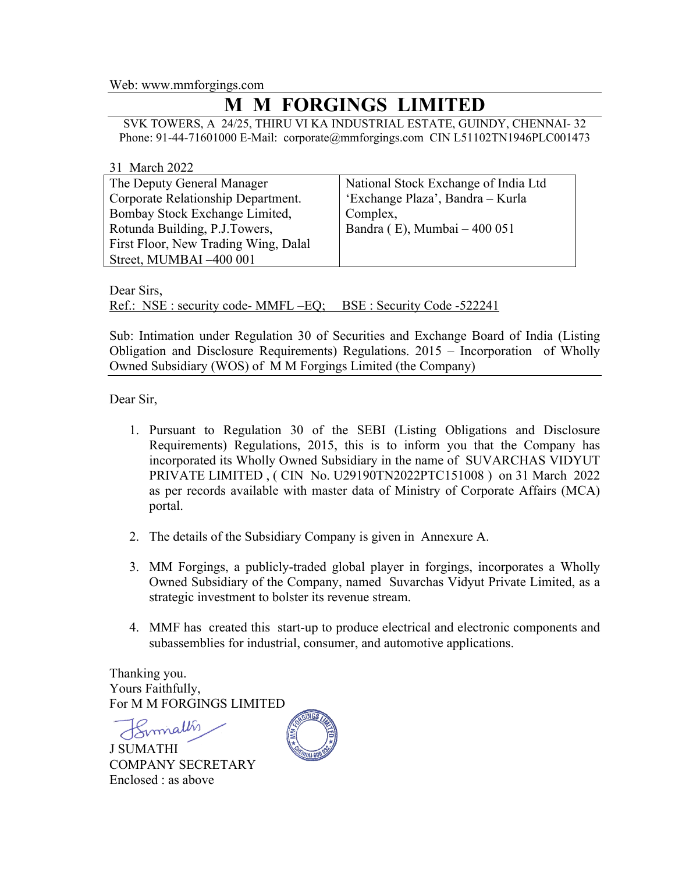Web: www.mmforgings.com

## **M M FORGINGS LIMITED**

SVK TOWERS, A 24/25, THIRU VI KA INDUSTRIAL ESTATE, GUINDY, CHENNAI- 32 Phone: 91-44-71601000 E-Mail: corporate@mmforgings.com CIN L51102TN1946PLC001473

| 31 March 2022                        |                                      |
|--------------------------------------|--------------------------------------|
| The Deputy General Manager           | National Stock Exchange of India Ltd |
| Corporate Relationship Department.   | 'Exchange Plaza', Bandra - Kurla     |
| Bombay Stock Exchange Limited,       | Complex,                             |
| Rotunda Building, P.J.Towers,        | Bandra (E), Mumbai - 400 051         |
| First Floor, New Trading Wing, Dalal |                                      |
| Street, MUMBAI -400 001              |                                      |

Dear Sirs,

Ref.: NSE : security code- MMFL –EQ; BSE : Security Code -522241

Sub: Intimation under Regulation 30 of Securities and Exchange Board of India (Listing Obligation and Disclosure Requirements) Regulations. 2015 – Incorporation of Wholly Owned Subsidiary (WOS) of M M Forgings Limited (the Company)

Dear Sir,

- 1. Pursuant to Regulation 30 of the SEBI (Listing Obligations and Disclosure Requirements) Regulations, 2015, this is to inform you that the Company has incorporated its Wholly Owned Subsidiary in the name of SUVARCHAS VIDYUT PRIVATE LIMITED , ( CIN No. U29190TN2022PTC151008 ) on 31 March 2022 as per records available with master data of Ministry of Corporate Affairs (MCA) portal.
- 2. The details of the Subsidiary Company is given in Annexure A.
- 3. MM Forgings, a publicly-traded global player in forgings, incorporates a Wholly Owned Subsidiary of the Company, named Suvarchas Vidyut Private Limited, as a strategic investment to bolster its revenue stream.
- 4. MMF has created this start-up to produce electrical and electronic components and subassemblies for industrial, consumer, and automotive applications.

Thanking you. Yours Faithfully, For M M FORGINGS LIMITED

Binnallis

J SUMATHI COMPANY SECRETARY Enclosed : as above

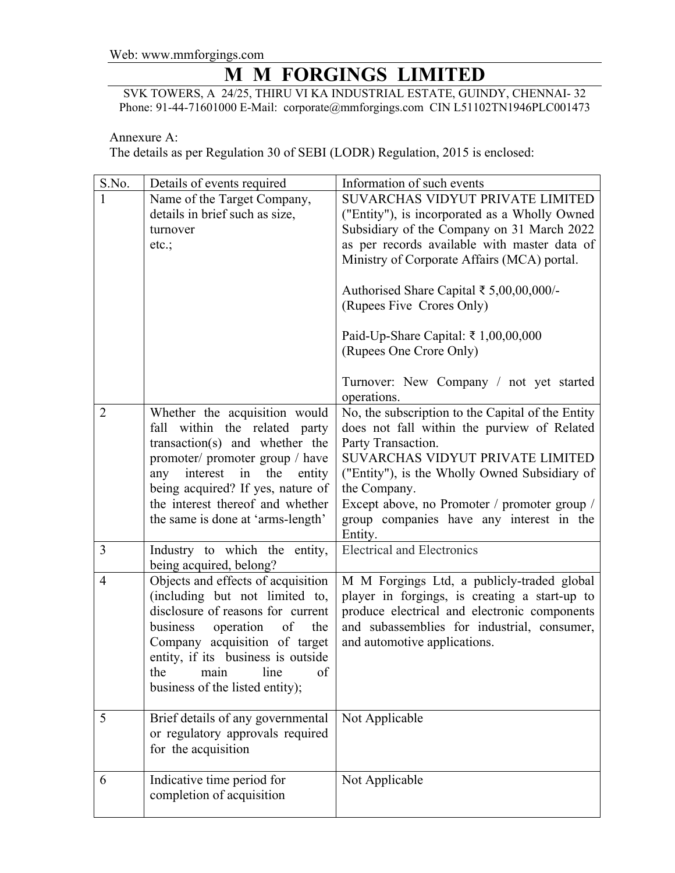## Web: www.mmforgings.com

## **M M FORGINGS LIMITED**

SVK TOWERS, A 24/25, THIRU VI KA INDUSTRIAL ESTATE, GUINDY, CHENNAI- 32 Phone: 91-44-71601000 E-Mail: corporate@mmforgings.com CIN L51102TN1946PLC001473

Annexure A:

The details as per Regulation 30 of SEBI (LODR) Regulation, 2015 is enclosed:

| S.No.          | Details of events required                                                                                                                                                                                                                                                                     | Information of such events                                                                                                                                                                                                                                                                                                                                                                                            |
|----------------|------------------------------------------------------------------------------------------------------------------------------------------------------------------------------------------------------------------------------------------------------------------------------------------------|-----------------------------------------------------------------------------------------------------------------------------------------------------------------------------------------------------------------------------------------------------------------------------------------------------------------------------------------------------------------------------------------------------------------------|
| 1              | Name of the Target Company,<br>details in brief such as size,<br>turnover<br>etc.;                                                                                                                                                                                                             | SUVARCHAS VIDYUT PRIVATE LIMITED<br>("Entity"), is incorporated as a Wholly Owned<br>Subsidiary of the Company on 31 March 2022<br>as per records available with master data of<br>Ministry of Corporate Affairs (MCA) portal.<br>Authorised Share Capital ₹ 5,00,00,000/-<br>(Rupees Five Crores Only)<br>Paid-Up-Share Capital: ₹ 1,00,00,000<br>(Rupees One Crore Only)<br>Turnover: New Company / not yet started |
| $\overline{2}$ | Whether the acquisition would<br>within the related party<br>fall<br>transaction(s) and whether the<br>promoter/ promoter group / have<br>interest<br>in<br>the<br>entity<br>any<br>being acquired? If yes, nature of<br>the interest thereof and whether<br>the same is done at 'arms-length' | operations.<br>No, the subscription to the Capital of the Entity<br>does not fall within the purview of Related<br>Party Transaction.<br>SUVARCHAS VIDYUT PRIVATE LIMITED<br>("Entity"), is the Wholly Owned Subsidiary of<br>the Company.<br>Except above, no Promoter / promoter group /<br>group companies have any interest in the<br>Entity.                                                                     |
| 3              | Industry to which the entity,<br>being acquired, belong?                                                                                                                                                                                                                                       | <b>Electrical and Electronics</b>                                                                                                                                                                                                                                                                                                                                                                                     |
| 4              | Objects and effects of acquisition<br>(including but not limited to,<br>disclosure of reasons for current<br>business<br>the<br>operation<br>of<br>Company acquisition of target<br>entity, if its business is outside<br>the<br>line<br>of<br>main<br>business of the listed entity);         | M M Forgings Ltd, a publicly-traded global<br>player in forgings, is creating a start-up to<br>produce electrical and electronic components<br>and subassemblies for industrial, consumer,<br>and automotive applications.                                                                                                                                                                                            |
| 5              | Brief details of any governmental<br>or regulatory approvals required<br>for the acquisition                                                                                                                                                                                                   | Not Applicable                                                                                                                                                                                                                                                                                                                                                                                                        |
| 6              | Indicative time period for<br>completion of acquisition                                                                                                                                                                                                                                        | Not Applicable                                                                                                                                                                                                                                                                                                                                                                                                        |